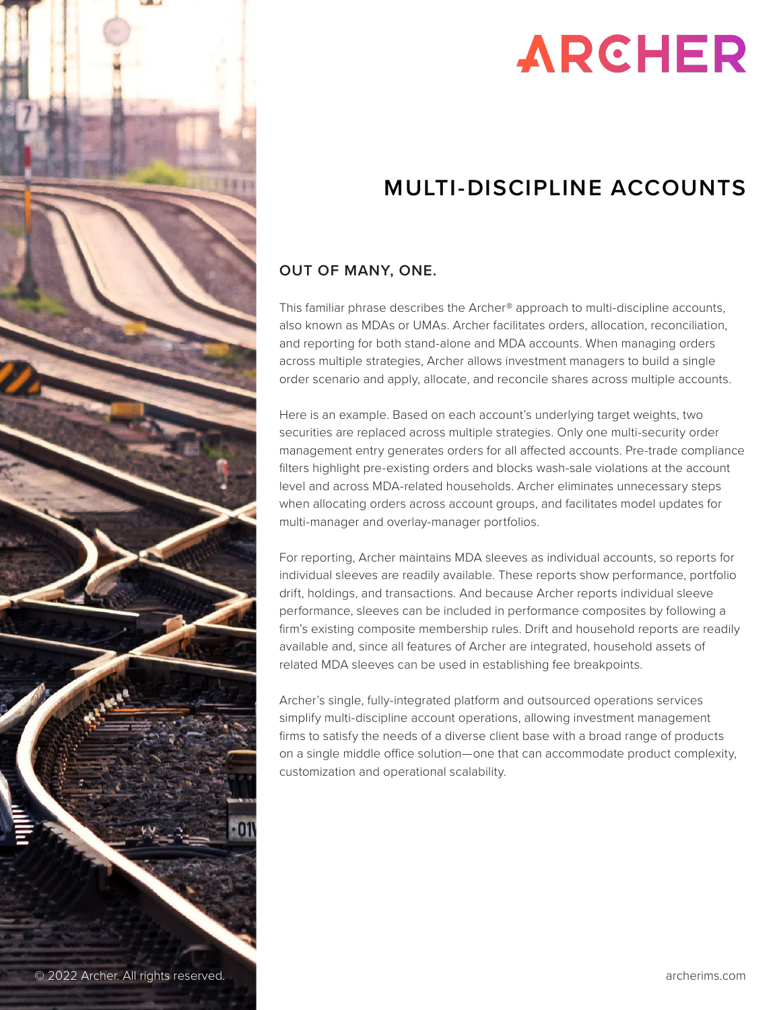

# **ARCHER**

# **MULTI-DISCIPLINE ACCOUNTS**

## **OUT OF MANY, ONE.**

This familiar phrase describes the Archer® approach to multi-discipline accounts, also known as MDAs or UMAs. Archer facilitates orders, allocation, reconciliation, and reporting for both stand-alone and MDA accounts. When managing orders across multiple strategies, Archer allows investment managers to build a single order scenario and apply, allocate, and reconcile shares across multiple accounts.

Here is an example. Based on each account's underlying target weights, two securities are replaced across multiple strategies. Only one multi-security order management entry generates orders for all affected accounts. Pre-trade compliance filters highlight pre-existing orders and blocks wash-sale violations at the account level and across MDA-related households. Archer eliminates unnecessary steps when allocating orders across account groups, and facilitates model updates for multi-manager and overlay-manager portfolios.

For reporting, Archer maintains MDA sleeves as individual accounts, so reports for individual sleeves are readily available. These reports show performance, portfolio drift, holdings, and transactions. And because Archer reports individual sleeve performance, sleeves can be included in performance composites by following a firm's existing composite membership rules. Drift and household reports are readily available and, since all features of Archer are integrated, household assets of related MDA sleeves can be used in establishing fee breakpoints.

Archer's single, fully-integrated platform and outsourced operations services simplify multi-discipline account operations, allowing investment management firms to satisfy the needs of a diverse client base with a broad range of products on a single middle office solution—one that can accommodate product complexity, customization and operational scalability.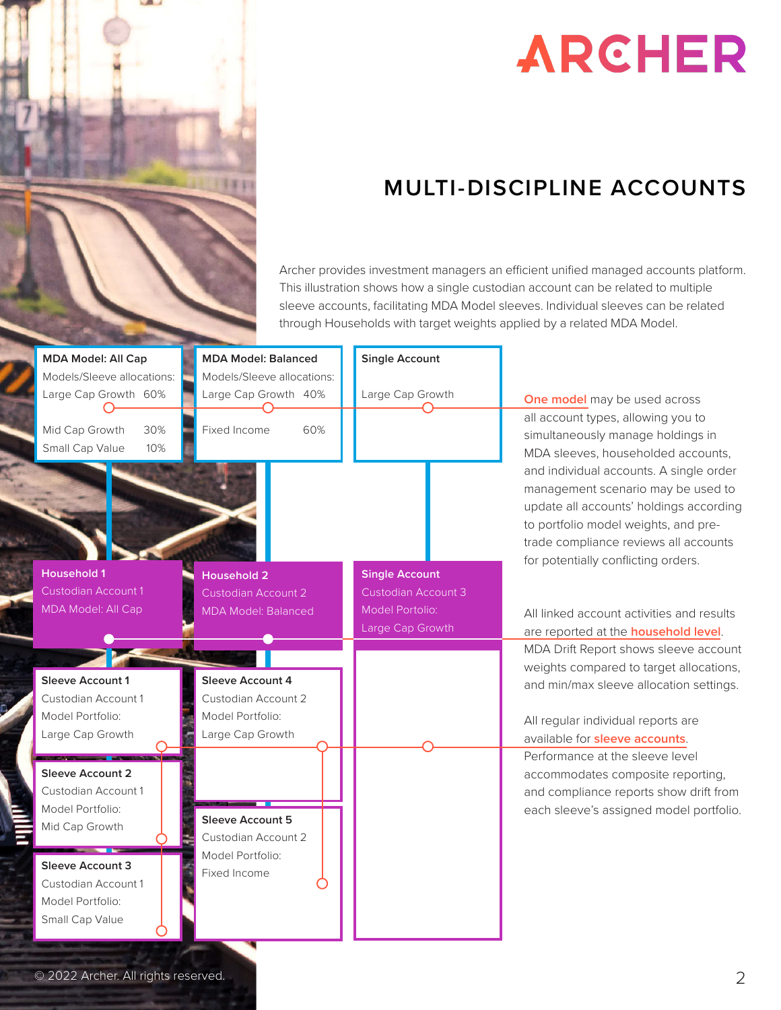

# **ARCHER**

# **MULTI-DISCIPLINE ACCOUNTS**

Archer provides investment managers an efficient unified managed accounts platform. This illustration shows how a single custodian account can be related to multiple sleeve accounts, facilitating MDA Model sleeves. Individual sleeves can be related through Households with target weights applied by a related MDA Model.

| <b>MDA Model: All Cap</b>                          | <b>MDA Model: Balanced</b>                         | <b>Single Account</b>      |                                                                                                                                                                                                                                                  |
|----------------------------------------------------|----------------------------------------------------|----------------------------|--------------------------------------------------------------------------------------------------------------------------------------------------------------------------------------------------------------------------------------------------|
| Models/Sleeve allocations:<br>Large Cap Growth 60% | Models/Sleeve allocations:<br>Large Cap Growth 40% | Large Cap Growth           | One model may be used across                                                                                                                                                                                                                     |
| Mid Cap Growth<br>30%<br>Small Cap Value<br>10%    | 60%<br>Fixed Income                                |                            | all account types, allowing you to<br>simultaneously manage holdings in<br>MDA sleeves, householded accounts,                                                                                                                                    |
|                                                    |                                                    |                            | and individual accounts. A single order<br>management scenario may be used to<br>update all accounts' holdings according<br>to portfolio model weights, and pre-<br>trade compliance reviews all accounts<br>for potentially conflicting orders. |
| <b>Household 1</b>                                 | <b>Household 2</b>                                 | <b>Single Account</b>      |                                                                                                                                                                                                                                                  |
| <b>Custodian Account 1</b>                         | <b>Custodian Account 2</b>                         | <b>Custodian Account 3</b> |                                                                                                                                                                                                                                                  |
| <b>MDA Model: All Cap</b>                          | <b>MDA Model: Balanced</b>                         | <b>Model Portolio:</b>     | All linked account activities and results                                                                                                                                                                                                        |
|                                                    |                                                    | Large Cap Growth           | are reported at the <b>household level</b> .                                                                                                                                                                                                     |
|                                                    |                                                    |                            | MDA Drift Report shows sleeve account                                                                                                                                                                                                            |
|                                                    |                                                    |                            |                                                                                                                                                                                                                                                  |
|                                                    |                                                    |                            | weights compared to target allocations,                                                                                                                                                                                                          |
| <b>Sleeve Account 1</b>                            | Sleeve Account 4                                   |                            | and min/max sleeve allocation settings.                                                                                                                                                                                                          |
| Custodian Account 1<br>Model Portfolio:            | Custodian Account 2<br>Model Portfolio:            |                            |                                                                                                                                                                                                                                                  |
| Large Cap Growth                                   | Large Cap Growth                                   |                            | All regular individual reports are                                                                                                                                                                                                               |
|                                                    |                                                    |                            | available for sleeve accounts.<br>Performance at the sleeve level                                                                                                                                                                                |
| <b>Sleeve Account 2</b>                            |                                                    |                            | accommodates composite reporting,                                                                                                                                                                                                                |
| Custodian Account 1                                |                                                    |                            | and compliance reports show drift from                                                                                                                                                                                                           |
| Model Portfolio:                                   |                                                    |                            | each sleeve's assigned model portfolio.                                                                                                                                                                                                          |
| Mid Cap Growth                                     | Sleeve Account 5                                   |                            |                                                                                                                                                                                                                                                  |
|                                                    | Custodian Account 2<br>Model Portfolio:            |                            |                                                                                                                                                                                                                                                  |
| Sleeve Account 3                                   | Fixed Income                                       |                            |                                                                                                                                                                                                                                                  |
| Custodian Account 1                                |                                                    |                            |                                                                                                                                                                                                                                                  |
| Model Portfolio:<br>Small Cap Value                |                                                    |                            |                                                                                                                                                                                                                                                  |